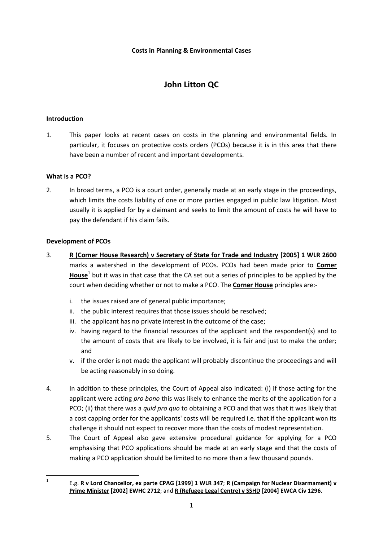# **John Litton QC**

## **Introduction**

1. This paper looks at recent cases on costs in the planning and environmental fields. In particular, it focuses on protective costs orders (PCOs) because it is in this area that there have been a number of recent and important developments.

### **What is a PCO?**

2. In broad terms, a PCO is a court order, generally made at an early stage in the proceedings, which limits the costs liability of one or more parties engaged in public law litigation. Most usually it is applied for by a claimant and seeks to limit the amount of costs he will have to pay the defendant if his claim fails.

### **Development of PCOs**

- 3. **R (Corner House Research) v Secretary of State for Trade and Industry [2005] 1 WLR 2600** marks a watershed in the development of PCOs. PCOs had been made prior to **Corner House**<sup>1</sup> but it was in that case that the CA set out a series of principles to be applied by the court when deciding whether or not to make a PCO. The **Corner House** principles are:
	- i. the issues raised are of general public importance;
	- ii. the public interest requires that those issues should be resolved;
	- iii. the applicant has no private interest in the outcome of the case;
	- iv. having regard to the financial resources of the applicant and the respondent(s) and to the amount of costs that are likely to be involved, it is fair and just to make the order; and
	- v. if the order is not made the applicant will probably discontinue the proceedings and will be acting reasonably in so doing.
- 4. In addition to these principles, the Court of Appeal also indicated: (i) if those acting for the applicant were acting *pro bono* this was likely to enhance the merits of the application for a PCO; (ii) that there was a *quid pro quo* to obtaining a PCO and that was that it was likely that a cost capping order for the applicants' costs will be required i.e. that if the applicant won its challenge it should not expect to recover more than the costs of modest representation.
- 5. The Court of Appeal also gave extensive procedural guidance for applying for a PCO emphasising that PCO applications should be made at an early stage and that the costs of making a PCO application should be limited to no more than a few thousand pounds.

 $\frac{1}{1}$ E.g. **R v Lord Chancellor, ex parte CPAG [1999] 1 WLR 347**; **R (Campaign for Nuclear Disarmament) v Prime Minister [2002] EWHC 2712**; and **R (Refugee Legal Centre) v SSHD [2004] EWCA Civ 1296**.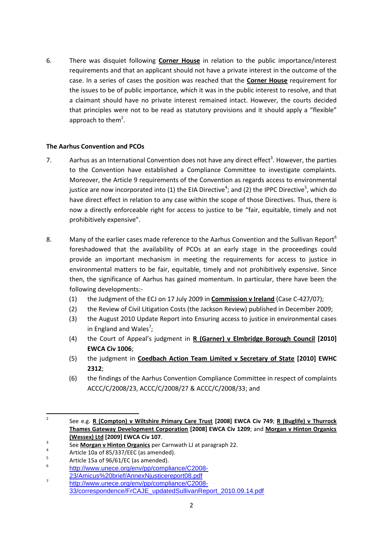6. There was disquiet following **Corner House** in relation to the public importance/interest requirements and that an applicant should not have a private interest in the outcome of the case. In a series of cases the position was reached that the **Corner House** requirement for the issues to be of public importance, which it was in the public interest to resolve, and that a claimant should have no private interest remained intact. However, the courts decided that principles were not to be read as statutory provisions and it should apply a "flexible" approach to them<sup>2</sup>.

## **The Aarhus Convention and PCOs**

- 7. Aarhus as an International Convention does not have any direct effect<sup>3</sup>. However, the parties to the Convention have established a Compliance Committee to investigate complaints. Moreover, the Article 9 requirements of the Convention as regards access to environmental justice are now incorporated into (1) the EIA Directive<sup>4</sup>; and (2) the IPPC Directive<sup>5</sup>, which do have direct effect in relation to any case within the scope of those Directives. Thus, there is now a directly enforceable right for access to justice to be "fair, equitable, timely and not prohibitively expensive".
- 8. Many of the earlier cases made reference to the Aarhus Convention and the Sullivan Report<sup>6</sup> foreshadowed that the availability of PCOs at an early stage in the proceedings could provide an important mechanism in meeting the requirements for access to justice in environmental matters to be fair, equitable, timely and not prohibitively expensive. Since then, the significance of Aarhus has gained momentum. In particular, there have been the following developments:-
	- (1) the Judgment of the ECJ on 17 July 2009 in **Commission v Ireland** (Case C-427/07);
	- (2) the Review of Civil Litigation Costs (the Jackson Review) published in December 2009;
	- (3) the August 2010 Update Report into Ensuring access to justice in environmental cases in England and Wales<sup>7</sup>;
	- (4) the Court of Appeal's judgment in **R (Garner) v Elmbridge Borough Council [2010] EWCA Civ 1006**;
	- (5) the judgment in **Coedbach Action Team Limited v Secretary of State [2010] EWHC 2312**;
	- (6) the findings of the Aarhus Convention Compliance Committee in respect of complaints ACCC/C/2008/23, ACCC/C/2008/27 & ACCC/C/2008/33; and

 $\frac{1}{2}$ See e.g. **R (Compton) v Wiltshire Primary Care Trust [2008] EWCA Civ 749**; **R (Buglife) v Thurrock Thames Gateway Development Corporation [2008] EWCA Civ 1209**; and **Morgan v Hinton Organics (Wessex) Ltd [2009] EWCA Civ 107**.

<sup>3</sup> See **Morgan v Hinton Organics** per Carnwath LJ at paragraph 22.

<sup>4</sup> Article 10a of 85/337/EEC (as amended).

<sup>5</sup> Article 15a of 96/61/EC (as amended).

<sup>6</sup> [http://www.unece.org/env/pp/compliance/C2008-](http://www.unece.org/env/pp/compliance/C2008-23/Amicus%20brief/AnnexNjusticereport08.pdf)

[<sup>23/</sup>Amicus%20brief/AnnexNjusticereport08.pdf](http://www.unece.org/env/pp/compliance/C2008-23/Amicus%20brief/AnnexNjusticereport08.pdf) 7

[http://www.unece.org/env/pp/compliance/C2008-](http://www.unece.org/env/pp/compliance/C2008-33/correspondence/FrCAJE_updatedSullivanReport_2010.09.14.pdf)

[<sup>33/</sup>correspondence/FrCAJE\\_updatedSullivanReport\\_2010.09.14.pdf](http://www.unece.org/env/pp/compliance/C2008-33/correspondence/FrCAJE_updatedSullivanReport_2010.09.14.pdf)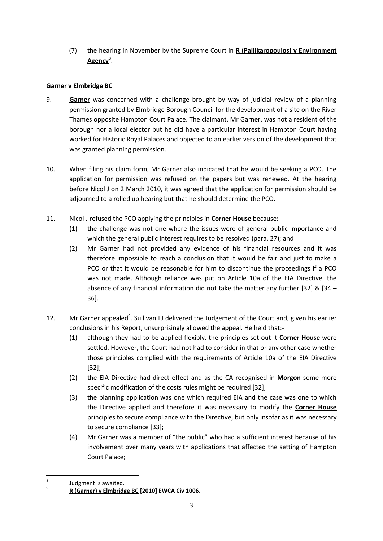(7) the hearing in November by the Supreme Court in **R (Pallikaropoulos) v Environment Agency**<sup>8</sup> .

## **Garner v Elmbridge BC**

- 9. **Garner** was concerned with a challenge brought by way of judicial review of a planning permission granted by Elmbridge Borough Council for the development of a site on the River Thames opposite Hampton Court Palace. The claimant, Mr Garner, was not a resident of the borough nor a local elector but he did have a particular interest in Hampton Court having worked for Historic Royal Palaces and objected to an earlier version of the development that was granted planning permission.
- 10. When filing his claim form, Mr Garner also indicated that he would be seeking a PCO. The application for permission was refused on the papers but was renewed. At the hearing before Nicol J on 2 March 2010, it was agreed that the application for permission should be adjourned to a rolled up hearing but that he should determine the PCO.
- 11. Nicol J refused the PCO applying the principles in **Corner House** because:-
	- (1) the challenge was not one where the issues were of general public importance and which the general public interest requires to be resolved (para. 27); and
	- (2) Mr Garner had not provided any evidence of his financial resources and it was therefore impossible to reach a conclusion that it would be fair and just to make a PCO or that it would be reasonable for him to discontinue the proceedings if a PCO was not made. Although reliance was put on Article 10a of the EIA Directive, the absence of any financial information did not take the matter any further [32] & [34 – 36].
- 12. Mr Garner appealed<sup>9</sup>. Sullivan LJ delivered the Judgement of the Court and, given his earlier conclusions in his Report, unsurprisingly allowed the appeal. He held that:-
	- (1) although they had to be applied flexibly, the principles set out it **Corner House** were settled. However, the Court had not had to consider in that or any other case whether those principles complied with the requirements of Article 10a of the EIA Directive [32];
	- (2) the EIA Directive had direct effect and as the CA recognised in **Morgon** some more specific modification of the costs rules might be required [32];
	- (3) the planning application was one which required EIA and the case was one to which the Directive applied and therefore it was necessary to modify the **Corner House** principles to secure compliance with the Directive, but only insofar as it was necessary to secure compliance [33];
	- (4) Mr Garner was a member of "the public" who had a sufficient interest because of his involvement over many years with applications that affected the setting of Hampton Court Palace;

<sup>-&</sup>lt;br>8 Judgment is awaited.

<sup>9</sup> **R (Garner) v Elmbridge BC [2010] EWCA Civ 1006**.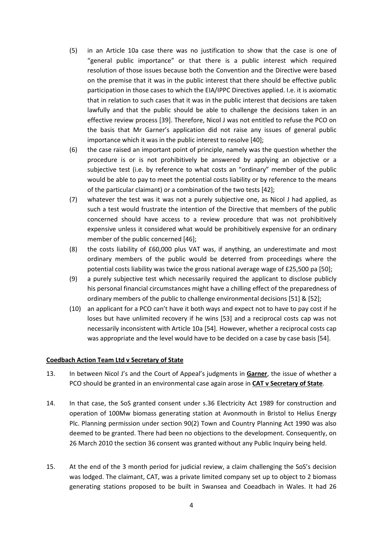- (5) in an Article 10a case there was no justification to show that the case is one of "general public importance" or that there is a public interest which required resolution of those issues because both the Convention and the Directive were based on the premise that it was in the public interest that there should be effective public participation in those cases to which the EIA/IPPC Directives applied. I.e. it is axiomatic that in relation to such cases that it was in the public interest that decisions are taken lawfully and that the public should be able to challenge the decisions taken in an effective review process [39]. Therefore, Nicol J was not entitled to refuse the PCO on the basis that Mr Garner's application did not raise any issues of general public importance which it was in the public interest to resolve [40];
- (6) the case raised an important point of principle, namely was the question whether the procedure is or is not prohibitively be answered by applying an objective or a subjective test (i.e. by reference to what costs an "ordinary" member of the public would be able to pay to meet the potential costs liability or by reference to the means of the particular claimant) or a combination of the two tests [42];
- (7) whatever the test was it was not a purely subjective one, as Nicol J had applied, as such a test would frustrate the intention of the Directive that members of the public concerned should have access to a review procedure that was not prohibitively expensive unless it considered what would be prohibitively expensive for an ordinary member of the public concerned [46];
- (8) the costs liability of £60,000 plus VAT was, if anything, an underestimate and most ordinary members of the public would be deterred from proceedings where the potential costs liability was twice the gross national average wage of £25,500 pa [50];
- (9) a purely subjective test which necessarily required the applicant to disclose publicly his personal financial circumstances might have a chilling effect of the preparedness of ordinary members of the public to challenge environmental decisions [51] & [52];
- (10) an applicant for a PCO can't have it both ways and expect not to have to pay cost if he loses but have unlimited recovery if he wins [53] and a reciprocal costs cap was not necessarily inconsistent with Article 10a [54]. However, whether a reciprocal costs cap was appropriate and the level would have to be decided on a case by case basis [54].

#### **Coedbach Action Team Ltd v Secretary of State**

- 13. In between Nicol J's and the Court of Appeal's judgments in **Garner**, the issue of whether a PCO should be granted in an environmental case again arose in **CAT v Secretary of State**.
- 14. In that case, the SoS granted consent under s.36 Electricity Act 1989 for construction and operation of 100Mw biomass generating station at Avonmouth in Bristol to Helius Energy Plc. Planning permission under section 90(2) Town and Country Planning Act 1990 was also deemed to be granted. There had been no objections to the development. Consequently, on 26 March 2010 the section 36 consent was granted without any Public Inquiry being held.
- 15. At the end of the 3 month period for judicial review, a claim challenging the SoS's decision was lodged. The claimant, CAT, was a private limited company set up to object to 2 biomass generating stations proposed to be built in Swansea and Coeadbach in Wales. It had 26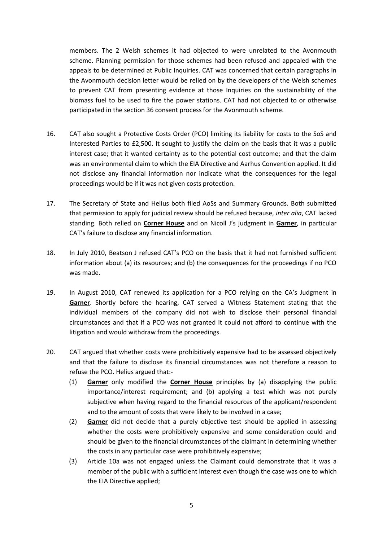members. The 2 Welsh schemes it had objected to were unrelated to the Avonmouth scheme. Planning permission for those schemes had been refused and appealed with the appeals to be determined at Public Inquiries. CAT was concerned that certain paragraphs in the Avonmouth decision letter would be relied on by the developers of the Welsh schemes to prevent CAT from presenting evidence at those Inquiries on the sustainability of the biomass fuel to be used to fire the power stations. CAT had not objected to or otherwise participated in the section 36 consent process for the Avonmouth scheme.

- 16. CAT also sought a Protective Costs Order (PCO) limiting its liability for costs to the SoS and Interested Parties to £2,500. It sought to justify the claim on the basis that it was a public interest case; that it wanted certainty as to the potential cost outcome; and that the claim was an environmental claim to which the EIA Directive and Aarhus Convention applied. It did not disclose any financial information nor indicate what the consequences for the legal proceedings would be if it was not given costs protection.
- 17. The Secretary of State and Helius both filed AoSs and Summary Grounds. Both submitted that permission to apply for judicial review should be refused because, *inter alia*, CAT lacked standing. Both relied on **Corner House** and on Nicoll J's judgment in **Garner**, in particular CAT's failure to disclose any financial information.
- 18. In July 2010, Beatson J refused CAT's PCO on the basis that it had not furnished sufficient information about (a) its resources; and (b) the consequences for the proceedings if no PCO was made.
- 19. In August 2010, CAT renewed its application for a PCO relying on the CA's Judgment in **Garner**. Shortly before the hearing, CAT served a Witness Statement stating that the individual members of the company did not wish to disclose their personal financial circumstances and that if a PCO was not granted it could not afford to continue with the litigation and would withdraw from the proceedings.
- 20. CAT argued that whether costs were prohibitively expensive had to be assessed objectively and that the failure to disclose its financial circumstances was not therefore a reason to refuse the PCO. Helius argued that:-
	- (1) **Garner** only modified the **Corner House** principles by (a) disapplying the public importance/interest requirement; and (b) applying a test which was not purely subjective when having regard to the financial resources of the applicant/respondent and to the amount of costs that were likely to be involved in a case;
	- (2) **Garner** did not decide that a purely objective test should be applied in assessing whether the costs were prohibitively expensive and some consideration could and should be given to the financial circumstances of the claimant in determining whether the costs in any particular case were prohibitively expensive;
	- (3) Article 10a was not engaged unless the Claimant could demonstrate that it was a member of the public with a sufficient interest even though the case was one to which the EIA Directive applied;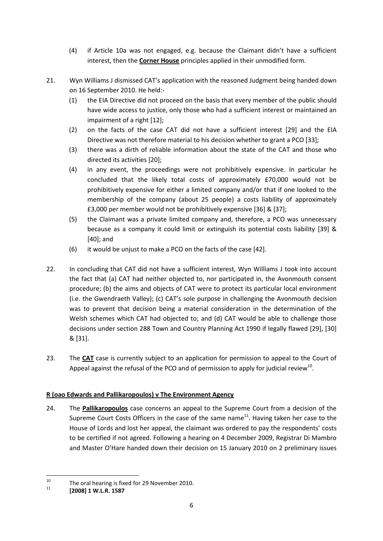- (4) if Article 10a was not engaged, e.g. because the Claimant didn't have a sufficient interest, then the **Corner House** principles applied in their unmodified form.
- 21. Wyn Williams J dismissed CAT's application with the reasoned Judgment being handed down on 16 September 2010. He held:-
	- (1) the EIA Directive did not proceed on the basis that every member of the public should have wide access to justice, only those who had a sufficient interest or maintained an impairment of a right [12];
	- (2) on the facts of the case CAT did not have a sufficient interest [29] and the EIA Directive was not therefore material to his decision whether to grant a PCO [33];
	- (3) there was a dirth of reliable information about the state of the CAT and those who directed its activities [20];
	- (4) in any event, the proceedings were not prohibitively expensive. In particular he concluded that the likely total costs of approximately £70,000 would not be prohibitively expensive for either a limited company and/or that if one looked to the membership of the company (about 25 people) a costs liability of approximately £3,000 per member would not be prohibitively expensive [36] & [37];
	- (5) the Claimant was a private limited company and, therefore, a PCO was unnecessary because as a company it could limit or extinguish its potential costs liability [39] & [40]; and
	- (6) it would be unjust to make a PCO on the facts of the case [42].
- 22. In concluding that CAT did not have a sufficient interest, Wyn Williams J took into account the fact that (a) CAT had neither objected to, nor participated in, the Avonmouth consent procedure; (b) the aims and objects of CAT were to protect its particular local environment (i.e. the Gwendraeth Valley); (c) CAT's sole purpose in challenging the Avonmouth decision was to prevent that decision being a material consideration in the determination of the Welsh schemes which CAT had objected to; and (d) CAT would be able to challenge those decisions under section 288 Town and Country Planning Act 1990 if legally flawed [29], [30] & [31].
- 23. The **CAT** case is currently subject to an application for permission to appeal to the Court of Appeal against the refusal of the PCO and of permission to apply for judicial review<sup>10</sup>.

## **R (oao Edwards and Pallikaropoulos) v The Environment Agency**

24. The **Pallikaropoulos** case concerns an appeal to the Supreme Court from a decision of the Supreme Court Costs Officers in the case of the same name<sup>11</sup>. Having taken her case to the House of Lords and lost her appeal, the claimant was ordered to pay the respondents' costs to be certified if not agreed. Following a hearing on 4 December 2009, Registrar Di Mambro and Master O'Hare handed down their decision on 15 January 2010 on 2 preliminary issues

 $10<sup>10</sup>$ <sup>10</sup> The oral hearing is fixed for 29 November 2010.

<sup>11</sup> **[2008] 1 W.L.R. 1587**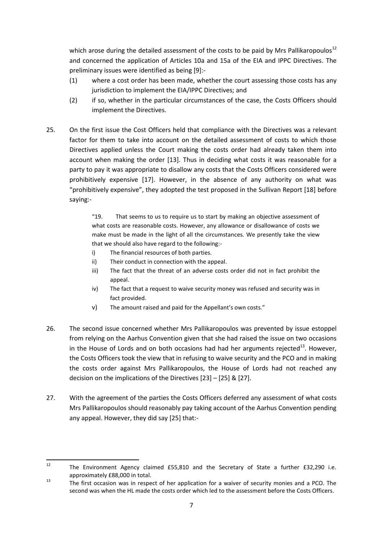which arose during the detailed assessment of the costs to be paid by Mrs Pallikaropoulos<sup>12</sup> and concerned the application of Articles 10a and 15a of the EIA and IPPC Directives. The preliminary issues were identified as being [9]:-

- (1) where a cost order has been made, whether the court assessing those costs has any jurisdiction to implement the EIA/IPPC Directives; and
- (2) if so, whether in the particular circumstances of the case, the Costs Officers should implement the Directives.
- 25. On the first issue the Cost Officers held that compliance with the Directives was a relevant factor for them to take into account on the detailed assessment of costs to which those Directives applied unless the Court making the costs order had already taken them into account when making the order [13]. Thus in deciding what costs it was reasonable for a party to pay it was appropriate to disallow any costs that the Costs Officers considered were prohibitively expensive [17]. However, in the absence of any authority on what was "prohibitively expensive", they adopted the test proposed in the Sullivan Report [18] before saying:-

"19. That seems to us to require us to start by making an objective assessment of what costs are reasonable costs. However, any allowance or disallowance of costs we make must be made in the light of all the circumstances. We presently take the view that we should also have regard to the following:-

- i) The financial resources of both parties.
- ii) Their conduct in connection with the appeal.
- iii) The fact that the threat of an adverse costs order did not in fact prohibit the appeal.
- iv) The fact that a request to waive security money was refused and security was in fact provided.
- v) The amount raised and paid for the Appellant's own costs."
- 26. The second issue concerned whether Mrs Pallikaropoulos was prevented by issue estoppel from relying on the Aarhus Convention given that she had raised the issue on two occasions in the House of Lords and on both occasions had had her arguments reiected $^{13}$ . However. the Costs Officers took the view that in refusing to waive security and the PCO and in making the costs order against Mrs Pallikaropoulos, the House of Lords had not reached any decision on the implications of the Directives [23] – [25] & [27].
- 27. With the agreement of the parties the Costs Officers deferred any assessment of what costs Mrs Pallikaropoulos should reasonably pay taking account of the Aarhus Convention pending any appeal. However, they did say [25] that:-

 $12$ The Environment Agency claimed £55,810 and the Secretary of State a further £32,290 i.e. approximately £88,000 in total.

<sup>&</sup>lt;sup>13</sup> The first occasion was in respect of her application for a waiver of security monies and a PCO. The second was when the HL made the costs order which led to the assessment before the Costs Officers.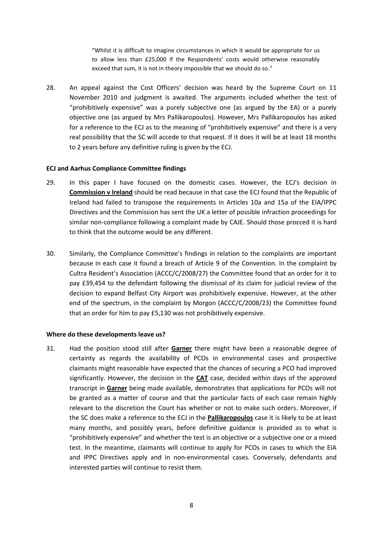"Whilst it is difficult to imagine circumstances in which it would be appropriate for us to allow less than £25,000 if the Respondents' costs would otherwise reasonably exceed that sum, it is not in theory impossible that we should do so."

28. An appeal against the Cost Officers' decision was heard by the Supreme Court on 11 November 2010 and judgment is awaited. The arguments included whether the test of "prohibitively expensive" was a purely subjective one (as argued by the EA) or a purely objective one (as argued by Mrs Pallikaropoulos). However, Mrs Pallikaropoulos has asked for a reference to the ECJ as to the meaning of "prohibitively expensive" and there is a very real possibility that the SC will accede to that request. If it does it will be at least 18 months to 2 years before any definitive ruling is given by the ECJ.

#### **ECJ and Aarhus Compliance Committee findings**

- 29. In this paper I have focused on the domestic cases. However, the ECJ's decision in **Commission v Ireland** should be read because in that case the ECJ found that the Republic of Ireland had failed to transpose the requirements in Articles 10a and 15a of the EIA/IPPC Directives and the Commission has sent the UK a letter of possible infraction proceedings for similar non-compliance following a complaint made by CAJE. Should those procced it is hard to think that the outcome would be any different.
- 30. Similarly, the Compliance Committee's findings in relation to the complaints are important because in each case it found a breach of Article 9 of the Convention. In the complaint by Cultra Resident's Association (ACCC/C/2008/27) the Committee found that an order for it to pay £39,454 to the defendant following the dismissal of its claim for judicial review of the decision to expand Belfast City Airport was prohibitively expensive. However, at the other end of the spectrum, in the complaint by Morgon (ACCC/C/2008/23) the Committee found that an order for him to pay £5,130 was not prohibitively expensive.

#### **Where do these developments leave us?**

31. Had the position stood still after **Garner** there might have been a reasonable degree of certainty as regards the availability of PCOs in environmental cases and prospective claimants might reasonable have expected that the chances of securing a PCO had improved significantly. However, the decision in the **CAT** case, decided within days of the approved transcript in **Garner** being made available, demonstrates that applications for PCOs will not be granted as a matter of course and that the particular facts of each case remain highly relevant to the discretion the Court has whether or not to make such orders. Moreover, if the SC does make a reference to the ECJ in the **Pallikaropoulos** case it is likely to be at least many months, and possibly years, before definitive guidance is provided as to what is "prohibitively expensive" and whether the test is an objective or a subjective one or a mixed test. In the meantime, claimants will continue to apply for PCOs in cases to which the EIA and IPPC Directives apply and in non-environmental cases. Conversely, defendants and interested parties will continue to resist them.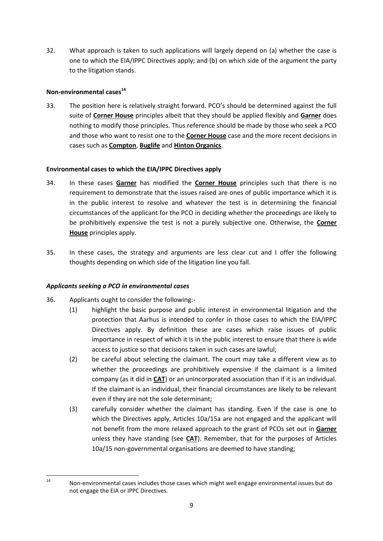32. What approach is taken to such applications will largely depend on (a) whether the case is one to which the EIA/IPPC Directives apply; and (b) on which side of the argument the party to the litigation stands.

## **Non-environmental cases<sup>14</sup>**

33. The position here is relatively straight forward. PCO's should be determined against the full suite of **Corner House** principles albeit that they should be applied flexibly and **Garner** does nothing to modify those principles. Thus reference should be made by those who seek a PCO and those who want to resist one to the **Corner House** case and the more recent decisions in cases such as **Compton**, **Buglife** and **Hinton Organics**.

## **Environmental cases to which the EIA/IPPC Directives apply**

- 34. In these cases **Garner** has modified the **Corner House** principles such that there is no requirement to demonstrate that the issues raised are ones of public importance which it is in the public interest to resolve and whatever the test is in determining the financial circumstances of the applicant for the PCO in deciding whether the proceedings are likely to be prohibitively expensive the test is not a purely subjective one. Otherwise, the **Corner House** principles apply.
- 35. In these cases, the strategy and arguments are less clear cut and I offer the following thoughts depending on which side of the litigation line you fall.

## *Applicants seeking a PCO in environmental cases*

 $14$ 

- 36. Applicants ought to consider the following:-
	- (1) highlight the basic purpose and public interest in environmental litigation and the protection that Aarhus is intended to confer in those cases to which the EIA/IPPC Directives apply. By definition these are cases which raise issues of public importance in respect of which it is in the public interest to ensure that there is wide access to justice so that decisions taken in such cases are lawful;
	- (2) be careful about selecting the claimant. The court may take a different view as to whether the proceedings are prohibitively expensive if the claimant is a limited company (as it did in **CAT**) or an unincorporated association than if it is an individual. If the claimant is an individual, their financial circumstances are likely to be relevant even if they are not the sole determinant;
	- (3) carefully consider whether the claimant has standing. Even if the case is one to which the Directives apply, Articles 10a/15a are not engaged and the applicant will not benefit from the more relaxed approach to the grant of PCOs set out in **Garner** unless they have standing (see **CAT**). Remember, that for the purposes of Articles 10a/15 non-governmental organisations are deemed to have standing;

<sup>14</sup> Non-environmental cases includes those cases which might well engage environmental issues but do not engage the EIA or IPPC Directives.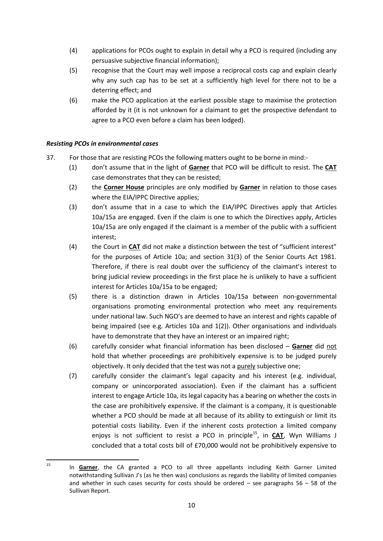- (4) applications for PCOs ought to explain in detail why a PCO is required (including any persuasive subjective financial information);
- (5) recognise that the Court may well impose a reciprocal costs cap and explain clearly why any such cap has to be set at a sufficiently high level for there not to be a deterring effect; and
- (6) make the PCO application at the earliest possible stage to maximise the protection afforded by it (it is not unknown for a claimant to get the prospective defendant to agree to a PCO even before a claim has been lodged).

## *Resisting PCOs in environmental cases*

- 37. For those that are resisting PCOs the following matters ought to be borne in mind:-
	- (1) don't assume that in the light of **Garner** that PCO will be difficult to resist. The **CAT** case demonstrates that they can be resisted;
	- (2) the **Corner House** principles are only modified by **Garner** in relation to those cases where the EIA/IPPC Directive applies;
	- (3) don't assume that in a case to which the EIA/IPPC Directives apply that Articles 10a/15a are engaged. Even if the claim is one to which the Directives apply, Articles 10a/15a are only engaged if the claimant is a member of the public with a sufficient interest;
	- (4) the Court in **CAT** did not make a distinction between the test of "sufficient interest" for the purposes of Article 10a; and section 31(3) of the Senior Courts Act 1981. Therefore, if there is real doubt over the sufficiency of the claimant's interest to bring judicial review proceedings in the first place he is unlikely to have a sufficient interest for Articles 10a/15a to be engaged;
	- (5) there is a distinction drawn in Articles 10a/15a between non-governmental organisations promoting environmental protection who meet any requirements under national law. Such NGO's are deemed to have an interest and rights capable of being impaired (see e.g. Articles 10a and 1(2)). Other organisations and individuals have to demonstrate that they have an interest or an impaired right;
	- (6) carefully consider what financial information has been disclosed **Garner** did not hold that whether proceedings are prohibitively expensive is to be judged purely objectively. It only decided that the test was not a purely subjective one;
	- (7) carefully consider the claimant's legal capacity and his interest (e.g. individual, company or unincorporated association). Even if the claimant has a sufficient interest to engage Article 10a, its legal capacity has a bearing on whether the costs in the case are prohibitively expensive. If the claimant is a company, it is questionable whether a PCO should be made at all because of its ability to extinguish or limit its potential costs liability. Even if the inherent costs protection a limited company enjoys is not sufficient to resist a PCO in principle<sup>15</sup>, in **CAT**, Wyn Williams J concluded that a total costs bill of £70,000 would not be prohibitively expensive to

<sup>15</sup> <sup>15</sup> In **Garner**, the CA granted a PCO to all three appellants including Keith Garner Limited notwithstanding Sullivan J's (as he then was) conclusions as regards the liability of limited companies and whether in such cases security for costs should be ordered  $-$  see paragraphs 56  $-$  58 of the Sullivan Report.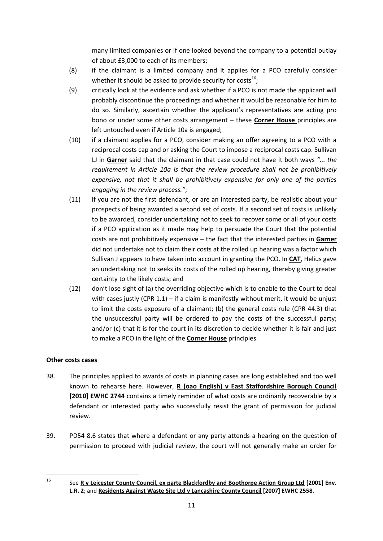many limited companies or if one looked beyond the company to a potential outlay of about £3,000 to each of its members;

- (8) if the claimant is a limited company and it applies for a PCO carefully consider whether it should be asked to provide security for costs<sup>16</sup>;
- (9) critically look at the evidence and ask whether if a PCO is not made the applicant will probably discontinue the proceedings and whether it would be reasonable for him to do so. Similarly, ascertain whether the applicant's representatives are acting pro bono or under some other costs arrangement – these **Corner House** principles are left untouched even if Article 10a is engaged;
- (10) if a claimant applies for a PCO, consider making an offer agreeing to a PCO with a reciprocal costs cap and or asking the Court to impose a reciprocal costs cap. Sullivan LJ in **Garner** said that the claimant in that case could not have it both ways *"... the requirement in Article 10a is that the review procedure shall not be prohibitively expensive, not that it shall be prohibitively expensive for only one of the parties engaging in the review process."*;
- (11) if you are not the first defendant, or are an interested party, be realistic about your prospects of being awarded a second set of costs. If a second set of costs is unlikely to be awarded, consider undertaking not to seek to recover some or all of your costs if a PCO application as it made may help to persuade the Court that the potential costs are not prohibitively expensive – the fact that the interested parties in **Garner** did not undertake not to claim their costs at the rolled up hearing was a factor which Sullivan J appears to have taken into account in granting the PCO. In **CAT**, Helius gave an undertaking not to seeks its costs of the rolled up hearing, thereby giving greater certainty to the likely costs; and
- (12) don't lose sight of (a) the overriding objective which is to enable to the Court to deal with cases justly (CPR  $1.1$ ) – if a claim is manifestly without merit, it would be unjust to limit the costs exposure of a claimant; (b) the general costs rule (CPR 44.3) that the unsuccessful party will be ordered to pay the costs of the successful party; and/or (c) that it is for the court in its discretion to decide whether it is fair and just to make a PCO in the light of the **Corner House** principles.

## **Other costs cases**

- 38. The principles applied to awards of costs in planning cases are long established and too well known to rehearse here. However, **R (oao English) v East Staffordshire Borough Council [2010] EWHC 2744** contains a timely reminder of what costs are ordinarily recoverable by a defendant or interested party who successfully resist the grant of permission for judicial review.
- 39. PD54 8.6 states that where a defendant or any party attends a hearing on the question of permission to proceed with judicial review, the court will not generally make an order for

<sup>16</sup> 

<sup>16</sup> See **R v Leicester County Council, ex parte Blackfordby and Boothorpe Action Group Ltd [2001] Env. L.R. 2**; and **Residents Against Waste Site Ltd v Lancashire County Council [2007] EWHC 2558**.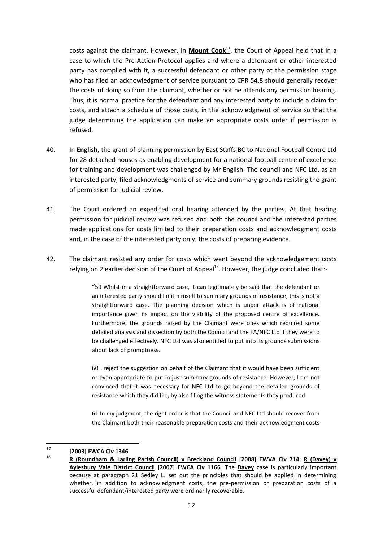costs against the claimant. However, in **Mount Cook<sup>17</sup>**, the Court of Appeal held that in a case to which the Pre-Action Protocol applies and where a defendant or other interested party has complied with it, a successful defendant or other party at the permission stage who has filed an acknowledgment of service pursuant to [CPR 54.8](http://login.westlaw.co.uk/maf/wluk/app/document?src=doc&linktype=ref&&context=4&crumb-action=replace&docguid=I71F54A60E42311DAA7CF8F68F6EE57AB) should generally recover the costs of doing so from the claimant, whether or not he attends any permission hearing. Thus, it is normal practice for the defendant and any interested party to include a claim for costs, and attach a schedule of those costs, in the acknowledgment of service so that the judge determining the application can make an appropriate costs order if permission is refused.

- 40. In **English**, the grant of planning permission by East Staffs BC to National Football Centre Ltd for 28 detached houses as enabling development for a national football centre of excellence for training and development was challenged by Mr English. The council and NFC Ltd, as an interested party, filed acknowledgments of service and summary grounds resisting the grant of permission for judicial review.
- 41. The Court ordered an expedited oral hearing attended by the parties. At that hearing permission for judicial review was refused and both the council and the interested parties made applications for costs limited to their preparation costs and acknowledgment costs and, in the case of the interested party only, the costs of preparing evidence.
- 42. The claimant resisted any order for costs which went beyond the acknowledgement costs relying on 2 earlier decision of the Court of Appeal<sup>18</sup>. However, the judge concluded that:-

"59 Whilst in a straightforward case, it can legitimately be said that the defendant or an interested party should limit himself to summary grounds of resistance, this is not a straightforward case. The planning decision which is under attack is of national importance given its impact on the viability of the proposed centre of excellence. Furthermore, the grounds raised by the Claimant were ones which required some detailed analysis and dissection by both the Council and the FA/NFC Ltd if they were to be challenged effectively. NFC Ltd was also entitled to put into its grounds submissions about lack of promptness.

60 I reject the suggestion on behalf of the Claimant that it would have been sufficient or even appropriate to put in just summary grounds of resistance. However, I am not convinced that it was necessary for NFC Ltd to go beyond the detailed grounds of resistance which they did file, by also filing the witness statements they produced.

61 In my judgment, the right order is that the Council and NFC Ltd should recover from the Claimant both their reasonable preparation costs and their acknowledgment costs

<sup>17</sup>  $17$  **[2003] EWCA Civ 1346.** 

<sup>18</sup> **R (Roundham & Larling Parish Council) v Breckland Council [2008] EWVA Civ 714**; **R (Davey) v Aylesbury Vale District Council [2007] EWCA Civ 1166**. The **Davey** case is particularly important because at paragraph 21 Sedley LJ set out the principles that should be applied in determining whether, in addition to acknowledgment costs, the pre-permission or preparation costs of a successful defendant/interested party were ordinarily recoverable.